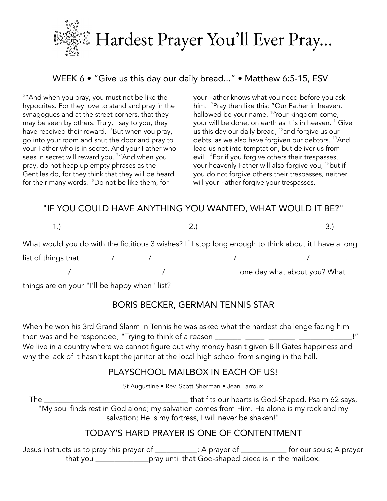

# WEEK 6 • "Give us this day our daily bread..." • Matthew 6:5-15, ESV

 $5"$ And when you pray, you must not be like the hypocrites. For they love to stand and pray in the synagogues and at the street corners, that they may be seen by others. Truly, I say to you, they have received their reward.  $6B$ ut when you pray, go into your room and shut the door and pray to your Father who is in secret. And your Father who sees in secret will reward you.  $^{7}$  "And when you pray, do not heap up empty phrases as the Gentiles do, for they think that they will be heard for their many words. <sup>8</sup>Do not be like them, for

your Father knows what you need before you ask him. <sup>9</sup>Pray then like this: "Our Father in heaven, hallowed be your name. <sup>10</sup>Your kingdom come, your will be done, on earth as it is in heaven. <sup>11</sup>Give us this day our daily bread,  $^{12}$  and forgive us our debts, as we also have forgiven our debtors. <sup>13</sup>And lead us not into temptation, but deliver us from evil. <sup>14</sup>For if you forgive others their trespasses, your heavenly Father will also forgive you, <sup>15</sup>but if you do not forgive others their trespasses, neither will your Father forgive your trespasses.

### "IF YOU COULD HAVE ANYTHING YOU WANTED, WHAT WOULD IT BE?"

 $1.$ ) 3.)

What would you do with the fictitious 3 wishes? If I stop long enough to think about it I have a long

 $\frac{1}{\sqrt{2\pi}}$  list of things that  $\frac{1}{2}$   $\frac{1}{2}$   $\frac{1}{2}$   $\frac{1}{2}$   $\frac{1}{2}$   $\frac{1}{2}$   $\frac{1}{2}$   $\frac{1}{2}$   $\frac{1}{2}$   $\frac{1}{2}$   $\frac{1}{2}$   $\frac{1}{2}$   $\frac{1}{2}$   $\frac{1}{2}$   $\frac{1}{2}$   $\frac{1}{2}$   $\frac{1}{2}$   $\frac{1}{2}$   $\frac{1}{$ \_\_\_\_\_\_\_\_\_\_\_\_/ \_\_\_\_\_\_\_\_\_\_\_ \_\_\_\_\_\_\_\_\_\_\_\_/ \_\_\_\_\_\_\_\_\_ \_\_\_\_\_\_\_\_\_ one day what about you? What

things are on your "I'll be happy when" list?

# BORIS BECKER, GERMAN TENNIS STAR

When he won his 3rd Grand Slanm in Tennis he was asked what the hardest challenge facing him then was and he responded, "Trying to think of a reason \_\_\_\_\_\_\_ \_\_\_\_\_ \_\_\_\_\_\_\_ \_\_\_\_\_\_\_\_\_\_\_\_\_\_ !" We live in a country where we cannot figure out why money hasn't given Bill Gates happiness and why the lack of it hasn't kept the janitor at the local high school from singing in the hall.

### PLAYSCHOOL MAILBOX IN EACH OF US!

St Augustine • Rev. Scott Sherman • Jean Larroux

The \_\_\_\_\_\_\_\_\_\_\_\_\_\_\_\_\_\_\_\_\_\_\_\_\_\_\_\_\_\_\_\_\_\_\_\_\_\_ that fits our hearts is God-Shaped. Psalm 62 says, "My soul finds rest in God alone; my salvation comes from Him. He alone is my rock and my salvation; He is my fortress, I will never be shaken!"

### TODAY'S HARD PRAYER IS ONE OF CONTENTMENT

Jesus instructs us to pray this prayer of \_\_\_\_\_\_\_\_\_\_\_; A prayer of \_\_\_\_\_\_\_\_\_\_\_\_ for our souls; A prayer that you \_\_\_\_\_\_\_\_\_\_\_\_\_\_pray until that God-shaped piece is in the mailbox.